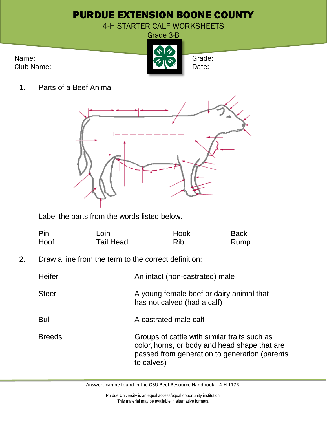|                     | <b>PURDUE EXTENSION BOONE COUNTY</b> |
|---------------------|--------------------------------------|
|                     | 4-H STARTER CALF WORKSHEETS          |
|                     | Grade 3-B                            |
| Name:<br>Club Name: | 大多<br>Grade:<br>Date:                |

1. Parts of a Beef Animal



Label the parts from the words listed below.

| Pin  | Loin             | Hook | <b>Back</b> |
|------|------------------|------|-------------|
| Hoof | <b>Tail Head</b> | Rib  | Rump        |

2. Draw a line from the term to the correct definition:

| Heifer        | An intact (non-castrated) male                                                                                                                               |
|---------------|--------------------------------------------------------------------------------------------------------------------------------------------------------------|
| <b>Steer</b>  | A young female beef or dairy animal that<br>has not calved (had a calf)                                                                                      |
| <b>Bull</b>   | A castrated male calf                                                                                                                                        |
| <b>Breeds</b> | Groups of cattle with similar traits such as<br>color, horns, or body and head shape that are<br>passed from generation to generation (parents<br>to calves) |